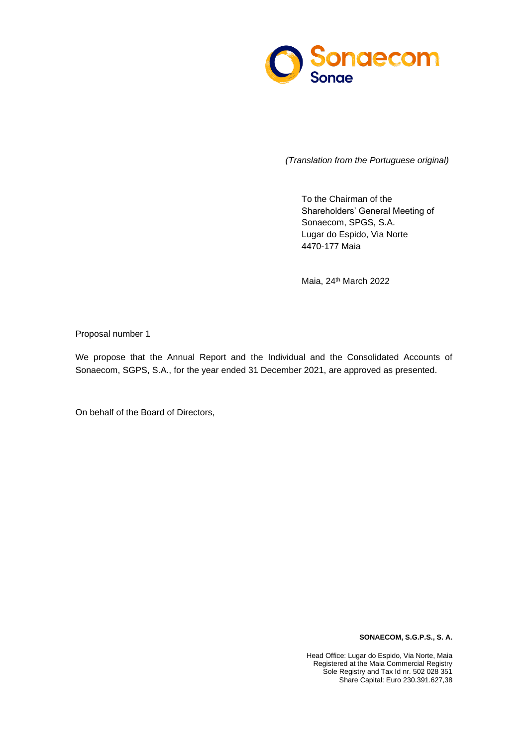

To the Chairman of the Shareholders' General Meeting of Sonaecom, SPGS, S.A. Lugar do Espido, Via Norte 4470-177 Maia

Maia, 24<sup>th</sup> March 2022

Proposal number 1

We propose that the Annual Report and the Individual and the Consolidated Accounts of Sonaecom, SGPS, S.A., for the year ended 31 December 2021, are approved as presented.

On behalf of the Board of Directors,

**SONAECOM, S.G.P.S., S. A.**

Head Office: Lugar do Espido, Via Norte, Maia Registered at the Maia Commercial Registry Sole Registry and Tax Id nr. 502 028 351 Share Capital: Euro 230.391.627,38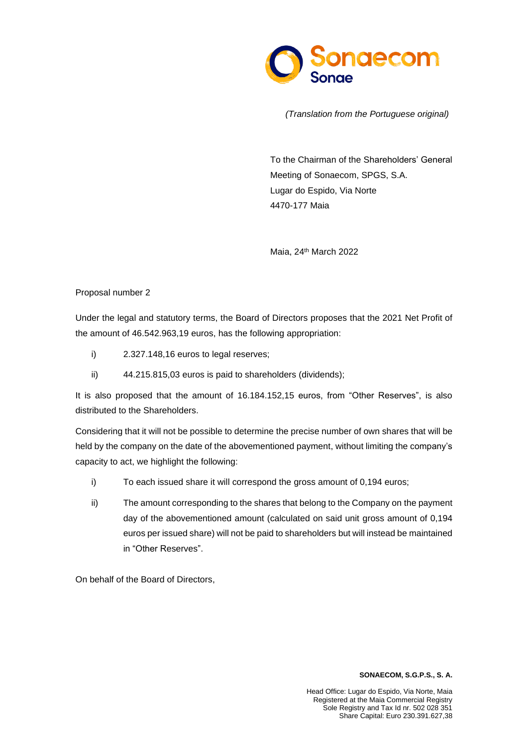

To the Chairman of the Shareholders' General Meeting of Sonaecom, SPGS, S.A. Lugar do Espido, Via Norte 4470-177 Maia

Maia, 24<sup>th</sup> March 2022

## Proposal number 2

Under the legal and statutory terms, the Board of Directors proposes that the 2021 Net Profit of the amount of 46.542.963,19 euros, has the following appropriation:

- i) 2.327.148,16 euros to legal reserves;
- ii) 44.215.815,03 euros is paid to shareholders (dividends);

It is also proposed that the amount of 16.184.152,15 euros, from "Other Reserves", is also distributed to the Shareholders.

Considering that it will not be possible to determine the precise number of own shares that will be held by the company on the date of the abovementioned payment, without limiting the company's capacity to act, we highlight the following:

- i) To each issued share it will correspond the gross amount of 0,194 euros;
- ii) The amount corresponding to the shares that belong to the Company on the payment day of the abovementioned amount (calculated on said unit gross amount of 0,194 euros per issued share) will not be paid to shareholders but will instead be maintained in "Other Reserves".

On behalf of the Board of Directors,

## **SONAECOM, S.G.P.S., S. A.**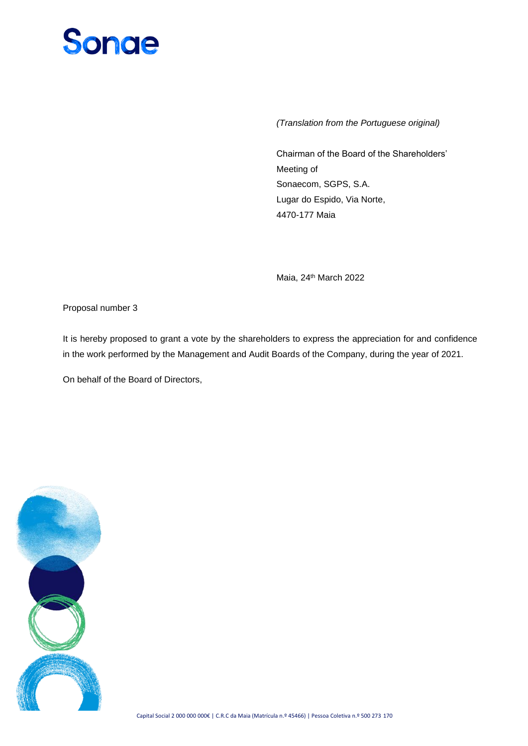## **Songe**

*(Translation from the Portuguese original)*

Chairman of the Board of the Shareholders' Meeting of Sonaecom, SGPS, S.A. Lugar do Espido, Via Norte, 4470-177 Maia

Maia, 24<sup>th</sup> March 2022

Proposal number 3

It is hereby proposed to grant a vote by the shareholders to express the appreciation for and confidence in the work performed by the Management and Audit Boards of the Company, during the year of 2021.

On behalf of the Board of Directors,

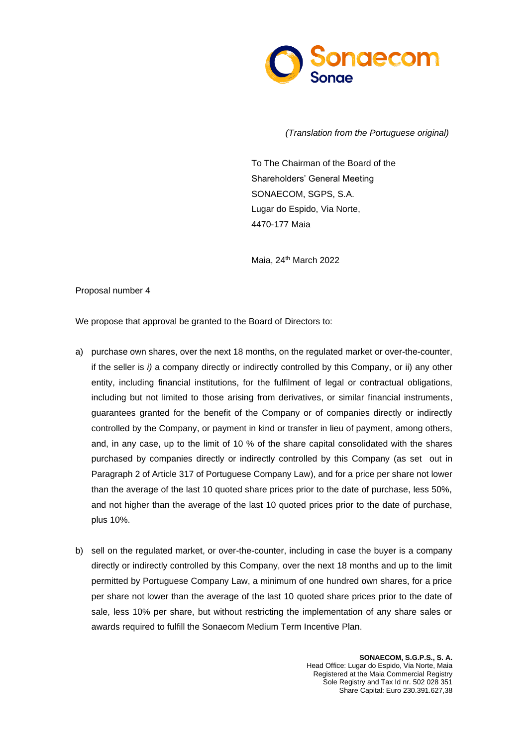

To The Chairman of the Board of the Shareholders' General Meeting SONAECOM, SGPS, S.A. Lugar do Espido, Via Norte, 4470-177 Maia

Maia, 24 th March 2022

Proposal number 4

We propose that approval be granted to the Board of Directors to:

- a) purchase own shares, over the next 18 months, on the regulated market or over-the-counter, if the seller is *i)* a company directly or indirectly controlled by this Company, or ii) any other entity, including financial institutions, for the fulfilment of legal or contractual obligations, including but not limited to those arising from derivatives, or similar financial instruments, guarantees granted for the benefit of the Company or of companies directly or indirectly controlled by the Company, or payment in kind or transfer in lieu of payment, among others, and, in any case, up to the limit of 10 % of the share capital consolidated with the shares purchased by companies directly or indirectly controlled by this Company (as set out in Paragraph 2 of Article 317 of Portuguese Company Law), and for a price per share not lower than the average of the last 10 quoted share prices prior to the date of purchase, less 50%, and not higher than the average of the last 10 quoted prices prior to the date of purchase, plus 10%.
- b) sell on the regulated market, or over-the-counter, including in case the buyer is a company directly or indirectly controlled by this Company, over the next 18 months and up to the limit permitted by Portuguese Company Law, a minimum of one hundred own shares, for a price per share not lower than the average of the last 10 quoted share prices prior to the date of sale, less 10% per share, but without restricting the implementation of any share sales or awards required to fulfill the Sonaecom Medium Term Incentive Plan.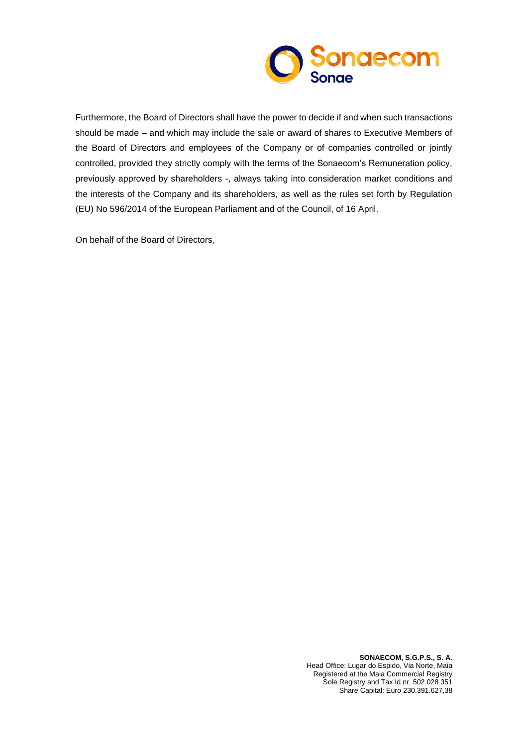

Furthermore, the Board of Directors shall have the power to decide if and when such transactions should be made – and which may include the sale or award of shares to Executive Members of the Board of Directors and employees of the Company or of companies controlled or jointly controlled, provided they strictly comply with the terms of the Sonaecom's Remuneration policy, previously approved by shareholders -, always taking into consideration market conditions and the interests of the Company and its shareholders, as well as the rules set forth by Regulation (EU) No 596/2014 of the European Parliament and of the Council, of 16 April.

On behalf of the Board of Directors,

**SONAECOM, S.G.P.S., S. A.** Head Office: Lugar do Espido, Via Norte, Maia Registered at the Maia Commercial Registry Sole Registry and Tax Id nr. 502 028 351 Share Capital: Euro 230.391.627,38